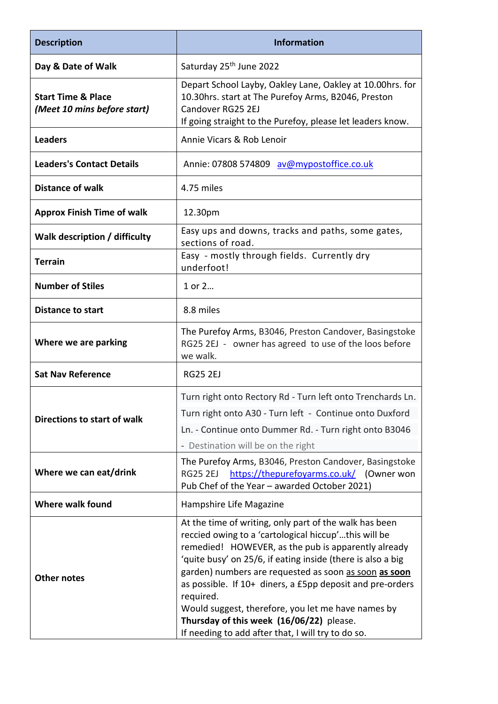| <b>Description</b>                                           | <b>Information</b>                                                                                                                                                                                                                                                                                                                                                                                                                                                                                                              |
|--------------------------------------------------------------|---------------------------------------------------------------------------------------------------------------------------------------------------------------------------------------------------------------------------------------------------------------------------------------------------------------------------------------------------------------------------------------------------------------------------------------------------------------------------------------------------------------------------------|
| Day & Date of Walk                                           | Saturday 25 <sup>th</sup> June 2022                                                                                                                                                                                                                                                                                                                                                                                                                                                                                             |
| <b>Start Time &amp; Place</b><br>(Meet 10 mins before start) | Depart School Layby, Oakley Lane, Oakley at 10.00hrs. for<br>10.30hrs. start at The Purefoy Arms, B2046, Preston<br>Candover RG25 2EJ<br>If going straight to the Purefoy, please let leaders know.                                                                                                                                                                                                                                                                                                                             |
| <b>Leaders</b>                                               | Annie Vicars & Rob Lenoir                                                                                                                                                                                                                                                                                                                                                                                                                                                                                                       |
| <b>Leaders's Contact Details</b>                             | Annie: 07808 574809 av@mypostoffice.co.uk                                                                                                                                                                                                                                                                                                                                                                                                                                                                                       |
| <b>Distance of walk</b>                                      | 4.75 miles                                                                                                                                                                                                                                                                                                                                                                                                                                                                                                                      |
| <b>Approx Finish Time of walk</b>                            | 12.30pm                                                                                                                                                                                                                                                                                                                                                                                                                                                                                                                         |
| Walk description / difficulty                                | Easy ups and downs, tracks and paths, some gates,<br>sections of road.                                                                                                                                                                                                                                                                                                                                                                                                                                                          |
| <b>Terrain</b>                                               | Easy - mostly through fields. Currently dry<br>underfoot!                                                                                                                                                                                                                                                                                                                                                                                                                                                                       |
| <b>Number of Stiles</b>                                      | 1 or 2                                                                                                                                                                                                                                                                                                                                                                                                                                                                                                                          |
| <b>Distance to start</b>                                     | 8.8 miles                                                                                                                                                                                                                                                                                                                                                                                                                                                                                                                       |
| Where we are parking                                         | The Purefoy Arms, B3046, Preston Candover, Basingstoke<br>RG25 2EJ - owner has agreed to use of the loos before<br>we walk.                                                                                                                                                                                                                                                                                                                                                                                                     |
| <b>Sat Nav Reference</b>                                     | <b>RG25 2EJ</b>                                                                                                                                                                                                                                                                                                                                                                                                                                                                                                                 |
| Directions to start of walk                                  | Turn right onto Rectory Rd - Turn left onto Trenchards Ln.<br>Turn right onto A30 - Turn left - Continue onto Duxford<br>Ln. - Continue onto Dummer Rd. - Turn right onto B3046<br>- Destination will be on the right                                                                                                                                                                                                                                                                                                           |
| Where we can eat/drink                                       | The Purefoy Arms, B3046, Preston Candover, Basingstoke<br>https://thepurefoyarms.co.uk/ (Owner won<br><b>RG25 2EJ</b><br>Pub Chef of the Year - awarded October 2021)                                                                                                                                                                                                                                                                                                                                                           |
| Where walk found                                             | Hampshire Life Magazine                                                                                                                                                                                                                                                                                                                                                                                                                                                                                                         |
| <b>Other notes</b>                                           | At the time of writing, only part of the walk has been<br>reccied owing to a 'cartological hiccup'this will be<br>remedied! HOWEVER, as the pub is apparently already<br>'quite busy' on 25/6, if eating inside (there is also a big<br>garden) numbers are requested as soon as soon as soon<br>as possible. If 10+ diners, a £5pp deposit and pre-orders<br>required.<br>Would suggest, therefore, you let me have names by<br>Thursday of this week (16/06/22) please.<br>If needing to add after that, I will try to do so. |